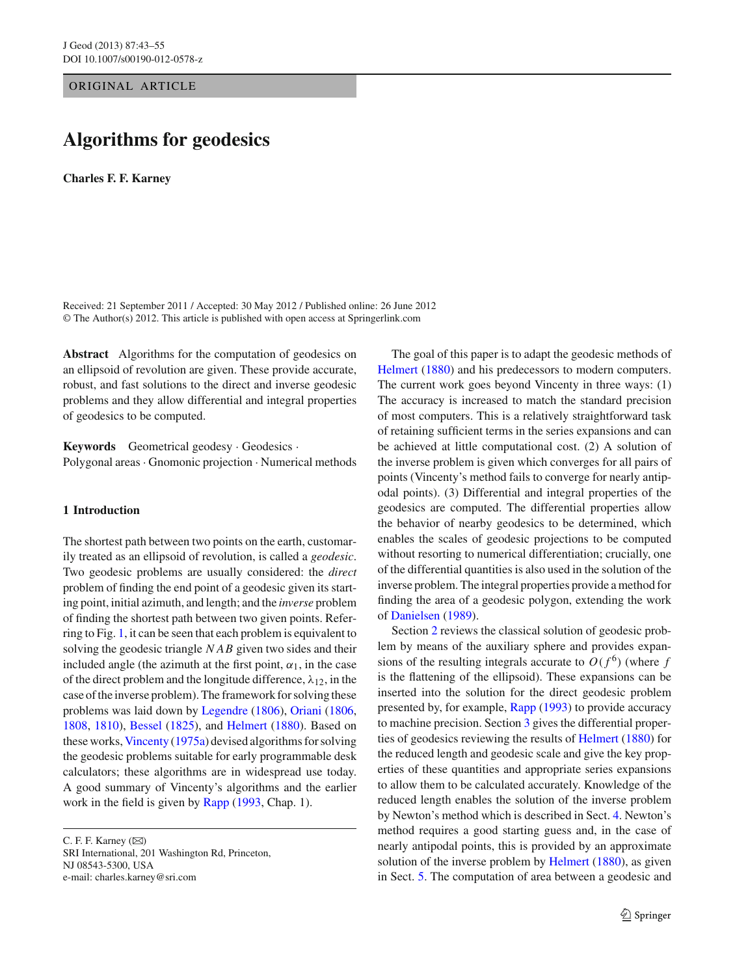ORIGINAL ARTICLE

# **Algorithms for geodesics**

**Charles F. F. Karney**

Received: 21 September 2011 / Accepted: 30 May 2012 / Published online: 26 June 2012 © The Author(s) 2012. This article is published with open access at Springerlink.com

**Abstract** Algorithms for the computation of geodesics on an ellipsoid of revolution are given. These provide accurate, robust, and fast solutions to the direct and inverse geodesic problems and they allow differential and integral properties of geodesics to be computed.

**Keywords** Geometrical geodesy · Geodesics · Polygonal areas· Gnomonic projection · Numerical methods

# **1 Introduction**

The shortest path between two points on the earth, customarily treated as an ellipsoid of revolution, is called a *geodesic*. Two geodesic problems are usually considered: the *direct* problem of finding the end point of a geodesic given its starting point, initial azimuth, and length; and the *inverse* problem of finding the shortest path between two given points. Referring to Fig. [1,](#page-1-0) it can be seen that each problem is equivalent to solving the geodesic triangle *NAB* given two sides and their included angle (the azimuth at the first point,  $\alpha_1$ , in the case of the direct problem and the longitude difference,  $\lambda_{12}$ , in the case of the inverse problem). The framework for solving these problems was laid down by [Legendre](#page-12-0) [\(1806\)](#page-12-0), [Oriani](#page-12-1) [\(1806,](#page-12-1) [1808,](#page-12-2) [1810](#page-12-3)), [Bessel](#page-12-4) [\(1825\)](#page-12-4), and [Helmert](#page-12-5) [\(1880\)](#page-12-5). Based on these works, [Vincenty](#page-12-6) [\(1975a](#page-12-6)) devised algorithms for solving the geodesic problems suitable for early programmable desk calculators; these algorithms are in widespread use today. A good summary of Vincenty's algorithms and the earlier work in the field is given by [Rapp](#page-12-7) [\(1993,](#page-12-7) Chap. 1).

C. F. F. Karney  $(\boxtimes)$ 

SRI International, 201 Washington Rd, Princeton, NJ 08543-5300, USA e-mail: charles.karney@sri.com

The goal of this paper is to adapt the geodesic methods of [Helmert](#page-12-5) [\(1880\)](#page-12-5) and his predecessors to modern computers. The current work goes beyond Vincenty in three ways: (1) The accuracy is increased to match the standard precision of most computers. This is a relatively straightforward task of retaining sufficient terms in the series expansions and can be achieved at little computational cost. (2) A solution of the inverse problem is given which converges for all pairs of points (Vincenty's method fails to converge for nearly antipodal points). (3) Differential and integral properties of the geodesics are computed. The differential properties allow the behavior of nearby geodesics to be determined, which enables the scales of geodesic projections to be computed without resorting to numerical differentiation; crucially, one of the differential quantities is also used in the solution of the inverse problem. The integral properties provide a method for finding the area of a geodesic polygon, extending the work of [Danielsen](#page-12-8) [\(1989\)](#page-12-8).

Section [2](#page-1-1) reviews the classical solution of geodesic problem by means of the auxiliary sphere and provides expansions of the resulting integrals accurate to  $O(f^6)$  (where *f* is the flattening of the ellipsoid). These expansions can be inserted into the solution for the direct geodesic problem presented by, for example, [Rapp](#page-12-7) [\(1993](#page-12-7)) to provide accuracy to machine precision. Section [3](#page-3-0) gives the differential properties of geodesics reviewing the results of [Helmert](#page-12-5) [\(1880](#page-12-5)) for the reduced length and geodesic scale and give the key properties of these quantities and appropriate series expansions to allow them to be calculated accurately. Knowledge of the reduced length enables the solution of the inverse problem by Newton's method which is described in Sect. [4.](#page-5-0) Newton's method requires a good starting guess and, in the case of nearly antipodal points, this is provided by an approximate solution of the inverse problem by [Helmert](#page-12-5) [\(1880](#page-12-5)), as given in Sect. [5.](#page-6-0) The computation of area between a geodesic and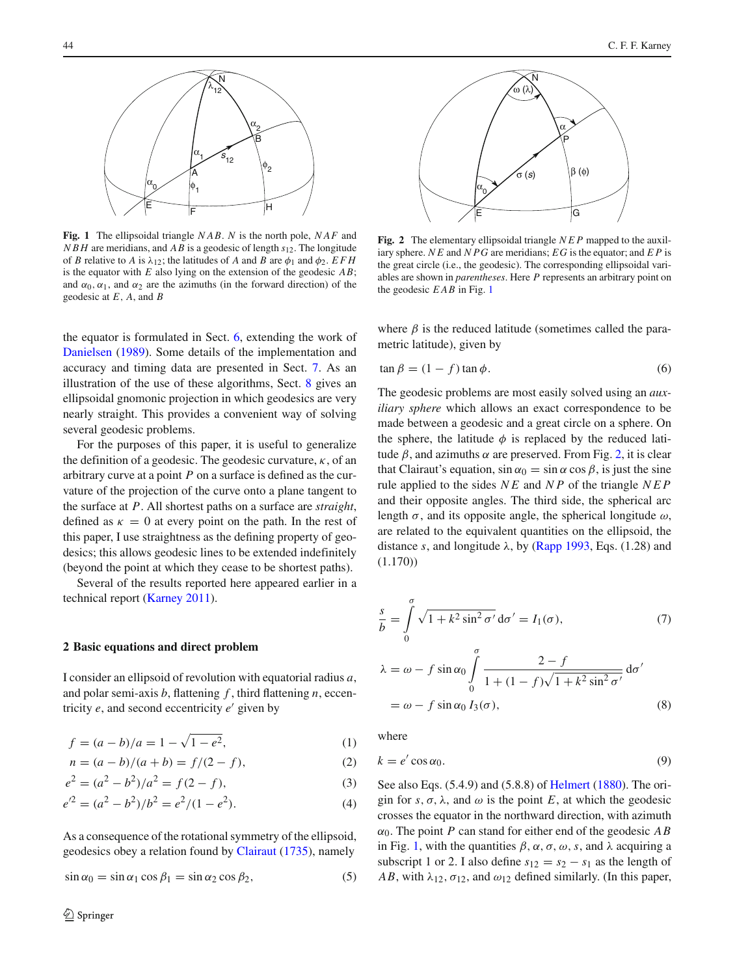

<span id="page-1-0"></span>**Fig. 1** The ellipsoidal triangle *NAB*. *N* is the north pole, *NAF* and *NBH* are meridians, and *AB* is a geodesic of length *s*12. The longitude of *B* relative to *A* is  $\lambda_{12}$ ; the latitudes of *A* and *B* are  $\phi_1$  and  $\phi_2$ . *EFH* is the equator with *E* also lying on the extension of the geodesic *AB*; and  $\alpha_0, \alpha_1$ , and  $\alpha_2$  are the azimuths (in the forward direction) of the geodesic at *E*, *A*, and *B*

the equator is formulated in Sect. [6,](#page-7-0) extending the work of [Danielsen](#page-12-8) [\(1989](#page-12-8)). Some details of the implementation and accuracy and timing data are presented in Sect. [7.](#page-9-0) As an illustration of the use of these algorithms, Sect. [8](#page-10-0) gives an ellipsoidal gnomonic projection in which geodesics are very nearly straight. This provides a convenient way of solving several geodesic problems.

For the purposes of this paper, it is useful to generalize the definition of a geodesic. The geodesic curvature,  $\kappa$ , of an arbitrary curve at a point *P* on a surface is defined as the curvature of the projection of the curve onto a plane tangent to the surface at *P*. All shortest paths on a surface are *straight*, defined as  $\kappa = 0$  at every point on the path. In the rest of this paper, I use straightness as the defining property of geodesics; this allows geodesic lines to be extended indefinitely (beyond the point at which they cease to be shortest paths).

Several of the results reported here appeared earlier in a technical report [\(Karney 2011\)](#page-12-9).

## <span id="page-1-1"></span>**2 Basic equations and direct problem**

I consider an ellipsoid of revolution with equatorial radius *a*, and polar semi-axis *b*, flattening *f* , third flattening *n*, eccentricity  $e$ , and second eccentricity  $e'$  given by

$$
f = (a - b)/a = 1 - \sqrt{1 - e^2},
$$
\n(1)

$$
n = (a - b)/(a + b) = f/(2 - f),
$$
\n(2)

$$
e2 = (a2 - b2)/a2 = f(2 - f),
$$
 (3)

$$
e^{\prime 2} = (a^2 - b^2)/b^2 = e^2/(1 - e^2). \tag{4}
$$

As a consequence of the rotational symmetry of the ellipsoid, geodesics obey a relation found by [Clairaut](#page-12-10) [\(1735\)](#page-12-10), namely

<span id="page-1-5"></span>
$$
\sin \alpha_0 = \sin \alpha_1 \cos \beta_1 = \sin \alpha_2 \cos \beta_2, \tag{5}
$$



<span id="page-1-2"></span>**Fig. 2** The elementary ellipsoidal triangle *NEP* mapped to the auxiliary sphere. *N E* and *NPG* are meridians; *EG* is the equator; and *E P* is the great circle (i.e., the geodesic). The corresponding ellipsoidal variables are shown in *parentheses*. Here *P* represents an arbitrary point on the geodesic *EAB* in Fig. [1](#page-1-0)

where  $\beta$  is the reduced latitude (sometimes called the parametric latitude), given by

<span id="page-1-10"></span>
$$
\tan \beta = (1 - f) \tan \phi. \tag{6}
$$

The geodesic problems are most easily solved using an *auxiliary sphere* which allows an exact correspondence to be made between a geodesic and a great circle on a sphere. On the sphere, the latitude  $\phi$  is replaced by the reduced latitude  $\beta$ , and azimuths  $\alpha$  are preserved. From Fig. [2,](#page-1-2) it is clear that Clairaut's equation,  $\sin \alpha_0 = \sin \alpha \cos \beta$ , is just the sine rule applied to the sides *N E* and *N P* of the triangle *NEP* and their opposite angles. The third side, the spherical arc length  $\sigma$ , and its opposite angle, the spherical longitude  $\omega$ , are related to the equivalent quantities on the ellipsoid, the distance *s*, and longitude  $\lambda$ , by [\(Rapp 1993](#page-12-7), Eqs. (1.28) and (1.170))

<span id="page-1-3"></span>
$$
\frac{s}{b} = \int_{0}^{\sigma} \sqrt{1 + k^2 \sin^2 \sigma'} d\sigma' = I_1(\sigma), \qquad (7)
$$

$$
\lambda = \omega - f \sin \alpha_0 \int_{0}^{\sigma} \frac{2 - f}{1 + (1 - f)\sqrt{1 + k^2 \sin^2 \sigma'}} d\sigma'
$$

$$
= \omega - f \sin \alpha_0 I_3(\sigma), \qquad (8)
$$

<span id="page-1-6"></span><span id="page-1-4"></span>where

<span id="page-1-11"></span><span id="page-1-7"></span>
$$
k = e' \cos \alpha_0. \tag{9}
$$

<span id="page-1-9"></span><span id="page-1-8"></span>See also Eqs. (5.4.9) and (5.8.8) of [Helmert](#page-12-5) [\(1880\)](#page-12-5). The origin for *s*,  $\sigma$ ,  $\lambda$ , and  $\omega$  is the point *E*, at which the geodesic crosses the equator in the northward direction, with azimuth  $\alpha_0$ . The point *P* can stand for either end of the geodesic *AB* in Fig. [1,](#page-1-0) with the quantities  $\beta$ ,  $\alpha$ ,  $\sigma$ ,  $\omega$ ,  $s$ , and  $\lambda$  acquiring a subscript 1 or 2. I also define  $s_{12} = s_2 - s_1$  as the length of *AB*, with  $\lambda_{12}$ ,  $\sigma_{12}$ , and  $\omega_{12}$  defined similarly. (In this paper,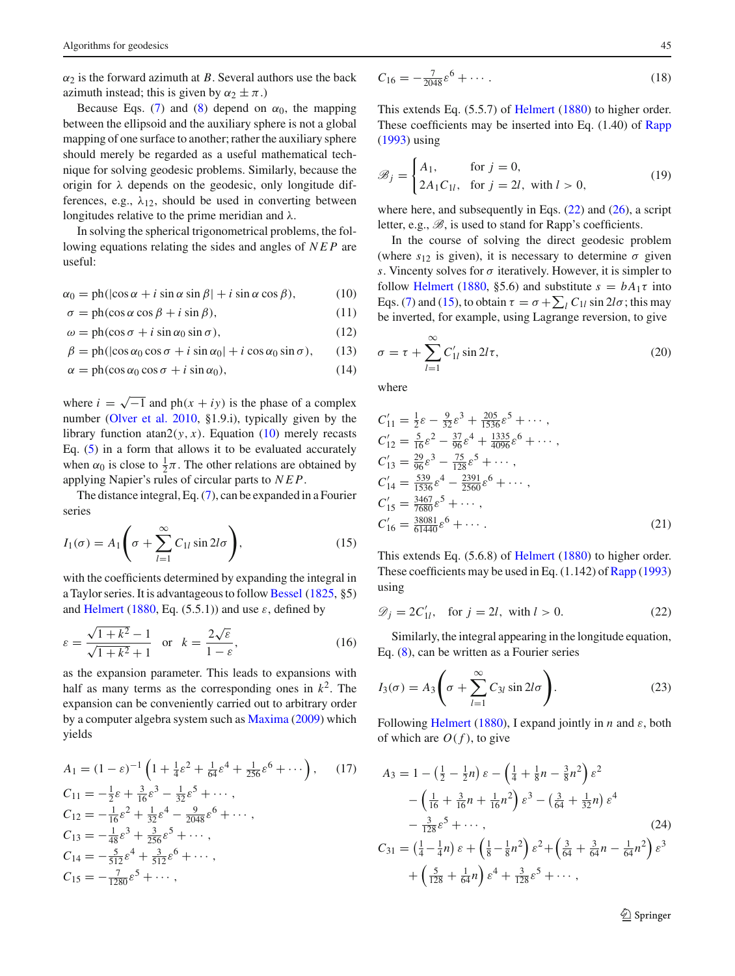$\alpha_2$  is the forward azimuth at *B*. Several authors use the back azimuth instead; this is given by  $\alpha_2 \pm \pi$ .)

Because Eqs. [\(7\)](#page-1-3) and [\(8\)](#page-1-4) depend on  $\alpha_0$ , the mapping between the ellipsoid and the auxiliary sphere is not a global mapping of one surface to another; rather the auxiliary sphere should merely be regarded as a useful mathematical technique for solving geodesic problems. Similarly, because the origin for  $\lambda$  depends on the geodesic, only longitude differences, e.g.,  $\lambda_{12}$ , should be used in converting between longitudes relative to the prime meridian and  $\lambda$ .

In solving the spherical trigonometrical problems, the following equations relating the sides and angles of *NEP* are useful:

 $\alpha_0 = \text{ph}(\cos \alpha + i \sin \alpha \sin \beta + i \sin \alpha \cos \beta),$  (10)

$$
\sigma = \text{ph}(\cos\alpha\cos\beta + i\sin\beta),\tag{11}
$$

$$
\omega = \text{ph}(\cos \sigma + i \sin \alpha_0 \sin \sigma),\tag{12}
$$

$$
\beta = \text{ph}(|\cos \alpha_0 \cos \sigma + i \sin \alpha_0| + i \cos \alpha_0 \sin \sigma), \qquad (13)
$$

$$
\alpha = \text{ph}(\cos \alpha_0 \cos \sigma + i \sin \alpha_0),\tag{14}
$$

where  $i = \sqrt{-1}$  and ph( $x + iy$ ) is the phase of a complex number [\(Olver et al. 2010,](#page-12-11) §1.9.i), typically given by the library function atan2( $y, x$ ). Equation [\(10\)](#page-2-0) merely recasts Eq. [\(5\)](#page-1-5) in a form that allows it to be evaluated accurately when  $\alpha_0$  is close to  $\frac{1}{2}\pi$ . The other relations are obtained by applying Napier's rules of circular parts to *NEP*.

The distance integral, Eq. [\(7\)](#page-1-3), can be expanded in a Fourier series

<span id="page-2-2"></span>
$$
I_1(\sigma) = A_1 \left( \sigma + \sum_{l=1}^{\infty} C_{1l} \sin 2l\sigma \right),
$$
 (15)

with the coefficients determined by expanding the integral in a Taylor series. It is advantageous to follow [Bessel](#page-12-4) [\(1825,](#page-12-4) §5) and [Helmert](#page-12-5) [\(1880](#page-12-5), Eq. (5.5.1)) and use  $\varepsilon$ , defined by

<span id="page-2-8"></span>
$$
\varepsilon = \frac{\sqrt{1 + k^2} - 1}{\sqrt{1 + k^2} + 1}
$$
 or  $k = \frac{2\sqrt{\varepsilon}}{1 - \varepsilon}$ , (16)

as the expansion parameter. This leads to expansions with half as many terms as the corresponding ones in  $k^2$ . The expansion can be conveniently carried out to arbitrary order by a computer algebra system such as [Maxima](#page-12-12) [\(2009](#page-12-12)) which yields

$$
A_1 = (1 - \varepsilon)^{-1} \left( 1 + \frac{1}{4} \varepsilon^2 + \frac{1}{64} \varepsilon^4 + \frac{1}{256} \varepsilon^6 + \cdots \right), \quad (17)
$$
  
\n
$$
C_{11} = -\frac{1}{2} \varepsilon + \frac{3}{16} \varepsilon^3 - \frac{1}{32} \varepsilon^5 + \cdots,
$$
  
\n
$$
C_{12} = -\frac{1}{16} \varepsilon^2 + \frac{1}{32} \varepsilon^4 - \frac{9}{2048} \varepsilon^6 + \cdots,
$$
  
\n
$$
C_{13} = -\frac{1}{48} \varepsilon^3 + \frac{3}{256} \varepsilon^5 + \cdots,
$$
  
\n
$$
C_{14} = -\frac{5}{512} \varepsilon^4 + \frac{3}{512} \varepsilon^6 + \cdots,
$$
  
\n
$$
C_{15} = -\frac{7}{1280} \varepsilon^5 + \cdots,
$$

<span id="page-2-12"></span>
$$
C_{16} = -\frac{7}{2048} \varepsilon^6 + \dotsb \tag{18}
$$

This extends Eq. (5.5.7) of [Helmert](#page-12-5) [\(1880\)](#page-12-5) to higher order. These coefficients may be inserted into Eq. (1.40) of [Rapp](#page-12-7) [\(1993](#page-12-7)) using

$$
\mathcal{B}_j = \begin{cases} A_1, & \text{for } j = 0, \\ 2A_1 C_{1l}, & \text{for } j = 2l, \text{ with } l > 0, \end{cases} \tag{19}
$$

where here, and subsequently in Eqs.  $(22)$  and  $(26)$ , a script letter, e.g., *B*, is used to stand for Rapp's coefficients.

<span id="page-2-0"></span>In the course of solving the direct geodesic problem (where  $s_{12}$  is given), it is necessary to determine  $\sigma$  given *s*. Vincenty solves for  $\sigma$  iteratively. However, it is simpler to follow [Helmert](#page-12-5) [\(1880](#page-12-5), §5.6) and substitute  $s = bA_1\tau$  into Eqs. [\(7\)](#page-1-3) and [\(15\)](#page-2-2), to obtain  $\tau = \sigma + \sum_l C_{1l} \sin 2l\sigma$ ; this may be inverted, for example, using Lagrange reversion, to give

<span id="page-2-10"></span><span id="page-2-7"></span><span id="page-2-5"></span><span id="page-2-3"></span>
$$
\sigma = \tau + \sum_{l=1}^{\infty} C_{1l}' \sin 2l\tau,
$$
\n(20)

<span id="page-2-6"></span>where

$$
C'_{11} = \frac{1}{2}\varepsilon - \frac{9}{32}\varepsilon^3 + \frac{205}{1536}\varepsilon^5 + \cdots,
$$
  
\n
$$
C'_{12} = \frac{5}{16}\varepsilon^2 - \frac{37}{96}\varepsilon^4 + \frac{1335}{4096}\varepsilon^6 + \cdots,
$$
  
\n
$$
C'_{13} = \frac{29}{96}\varepsilon^3 - \frac{75}{128}\varepsilon^5 + \cdots,
$$
  
\n
$$
C'_{14} = \frac{539}{1536}\varepsilon^4 - \frac{2391}{2560}\varepsilon^6 + \cdots,
$$
  
\n
$$
C'_{15} = \frac{3467}{7680}\varepsilon^5 + \cdots,
$$
  
\n
$$
C'_{16} = \frac{38081}{61440}\varepsilon^6 + \cdots.
$$
  
\n(21)

<span id="page-2-13"></span>This extends Eq. (5.6.8) of [Helmert](#page-12-5) [\(1880\)](#page-12-5) to higher order. These coefficients may be used in Eq. (1.142) of [Rapp](#page-12-7) [\(1993\)](#page-12-7) using

<span id="page-2-1"></span>
$$
\mathcal{D}_j = 2C'_{1l}, \quad \text{for } j = 2l, \text{ with } l > 0. \tag{22}
$$

Similarly, the integral appearing in the longitude equation, Eq. [\(8\)](#page-1-4), can be written as a Fourier series

<span id="page-2-4"></span>
$$
I_3(\sigma) = A_3 \left( \sigma + \sum_{l=1}^{\infty} C_{3l} \sin 2l \sigma \right).
$$
 (23)

Following [Helmert](#page-12-5) [\(1880\)](#page-12-5), I expand jointly in *n* and  $\varepsilon$ , both of which are  $O(f)$ , to give

<span id="page-2-9"></span>
$$
A_3 = 1 - \left(\frac{1}{2} - \frac{1}{2}n\right)\varepsilon - \left(\frac{1}{4} + \frac{1}{8}n - \frac{3}{8}n^2\right)\varepsilon^2
$$
  
 
$$
- \left(\frac{1}{16} + \frac{3}{16}n + \frac{1}{16}n^2\right)\varepsilon^3 - \left(\frac{3}{64} + \frac{1}{32}n\right)\varepsilon^4
$$
  
 
$$
- \frac{3}{128}\varepsilon^5 + \cdots,
$$
  
\n
$$
C_{31} = \left(\frac{1}{4} - \frac{1}{4}n\right)\varepsilon + \left(\frac{1}{8} - \frac{1}{8}n^2\right)\varepsilon^2 + \left(\frac{3}{64} + \frac{3}{64}n - \frac{1}{64}n^2\right)\varepsilon^3
$$
  
\n
$$
+ \left(\frac{5}{128} + \frac{1}{64}n\right)\varepsilon^4 + \frac{3}{128}\varepsilon^5 + \cdots,
$$
  
\n(24)

<span id="page-2-11"></span><sup>2</sup> Springer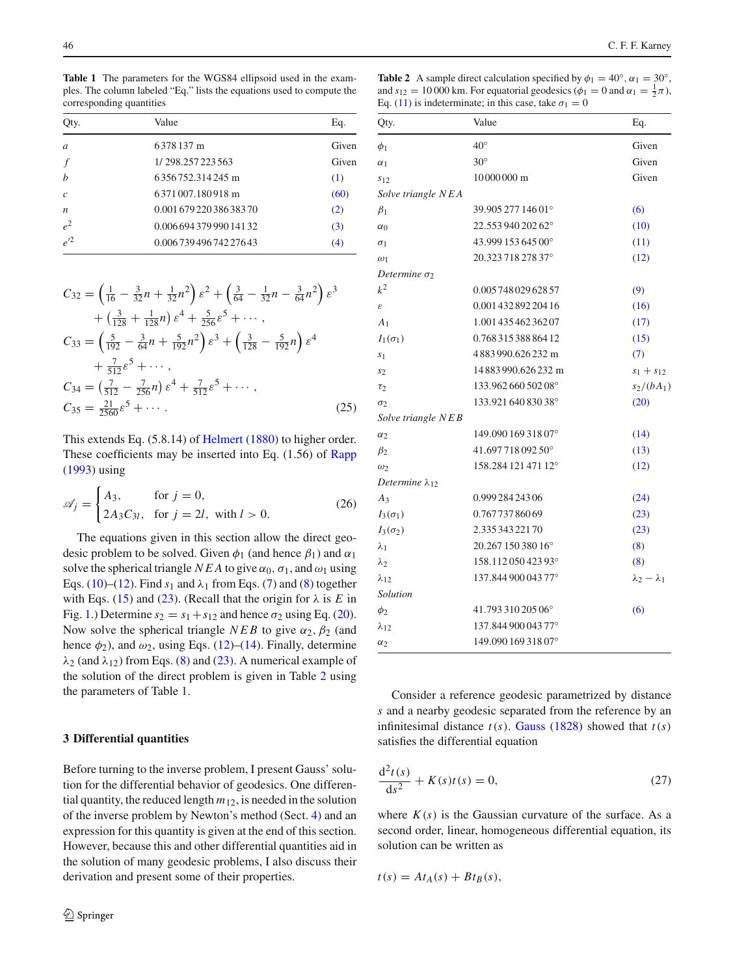<span id="page-3-3"></span>**Table 1** The parameters for the WGS84 ellipsoid used in the examples. The column labeled "Eq." lists the equations used to compute the corresponding quantities

| Qty.             | Value                    | Eq.   |
|------------------|--------------------------|-------|
| $\overline{a}$   | 6378137 m                | Given |
|                  | 1/298.257223563          | Given |
| $\boldsymbol{b}$ | 6356752.314245 m         | (1)   |
| $\mathcal{C}$    | 6371007.180918 m         | (60)  |
| $\boldsymbol{n}$ | 0.001 679 220 386 383 70 | (2)   |
| $e^2$            | 0.006 694 379 990 141 32 | (3)   |
| $e^{\prime 2}$   | 0.00673949674227643      | (4)   |

$$
C_{32} = \left(\frac{1}{16} - \frac{3}{32}n + \frac{1}{32}n^2\right)\varepsilon^2 + \left(\frac{3}{64} - \frac{1}{32}n - \frac{3}{64}n^2\right)\varepsilon^3
$$
  
+  $\left(\frac{3}{128} + \frac{1}{128}n\right)\varepsilon^4 + \frac{5}{256}\varepsilon^5 + \cdots$ ,  

$$
C_{33} = \left(\frac{5}{192} - \frac{3}{64}n + \frac{5}{192}n^2\right)\varepsilon^3 + \left(\frac{3}{128} - \frac{5}{192}n\right)\varepsilon^4
$$
  
+  $\frac{7}{512}\varepsilon^5 + \cdots$ ,  

$$
C_{34} = \left(\frac{7}{512} - \frac{7}{256}n\right)\varepsilon^4 + \frac{7}{512}\varepsilon^5 + \cdots
$$
,  

$$
C_{35} = \frac{21}{2560}\varepsilon^5 + \cdots
$$
. (25)

<span id="page-3-5"></span>This extends Eq. (5.8.14) of [Helmert](#page-12-5) [\(1880\)](#page-12-5) to higher order. These coefficients may be inserted into Eq. (1.56) of [Rapp](#page-12-7) [\(1993](#page-12-7)) using

<span id="page-3-1"></span>
$$
\mathscr{A}_j = \begin{cases} A_3, & \text{for } j = 0, \\ 2A_3C_{3l}, & \text{for } j = 2l, \text{ with } l > 0. \end{cases}
$$
 (26)

The equations given in this section allow the direct geodesic problem to be solved. Given  $\phi_1$  (and hence  $\beta_1$ ) and  $\alpha_1$ solve the spherical triangle *NEA* to give  $\alpha_0$ ,  $\sigma_1$ , and  $\omega_1$  using Eqs. [\(10\)](#page-2-0)–[\(12\)](#page-2-3). Find  $s_1$  and  $\lambda_1$  from Eqs. [\(7\)](#page-1-3) and [\(8\)](#page-1-4) together with Eqs. [\(15\)](#page-2-2) and [\(23\)](#page-2-4). (Recall that the origin for  $\lambda$  is *E* in Fig. [1.](#page-1-0)) Determine  $s_2 = s_1 + s_{12}$  and hence  $\sigma_2$  using Eq. [\(20\)](#page-2-5). Now solve the spherical triangle  $NEB$  to give  $\alpha_2$ ,  $\beta_2$  (and hence  $\phi_2$ ), and  $\omega_2$ , using Eqs. [\(12\)](#page-2-3)–[\(14\)](#page-2-6). Finally, determine  $\lambda_2$  (and  $\lambda_{12}$ ) from Eqs. [\(8\)](#page-1-4) and [\(23\)](#page-2-4). A numerical example of the solution of the direct problem is given in Table [2](#page-3-2) using the parameters of Table [1.](#page-3-3)

## <span id="page-3-0"></span>**3 Differential quantities**

Before turning to the inverse problem, I present Gauss' solution for the differential behavior of geodesics. One differential quantity, the reduced length *m*12, is needed in the solution of the inverse problem by Newton's method (Sect. [4\)](#page-5-0) and an expression for this quantity is given at the end of this section. However, because this and other differential quantities aid in the solution of many geodesic problems, I also discuss their derivation and present some of their properties.

<span id="page-3-2"></span>**Table 2** A sample direct calculation specified by  $\phi_1 = 40^\circ$ ,  $\alpha_1 = 30^\circ$ , and  $s_{12} = 10000$  km. For equatorial geodesics ( $\phi_1 = 0$  and  $\alpha_1 = \frac{1}{2}\pi$ ), Eq. [\(11\)](#page-2-7) is indeterminate; in this case, take  $\sigma_1 = 0$ 

| Qty.                       | Value                | Eq.                     |
|----------------------------|----------------------|-------------------------|
| $\phi_1$                   | $40^{\circ}$         | Given                   |
| $\alpha_1$                 | $30^\circ$           | Given                   |
| S12                        | 10000000 m           | Given                   |
| Solve triangle NEA         |                      |                         |
| $\beta_1$                  | 39.905 277 146 01°   | (6)                     |
| $\alpha_0$                 | 22.553 940 202 62°   | (10)                    |
| $\sigma_1$                 | 43.999 153 645 00°   | (11)                    |
| $\omega_1$                 | 20.32371827837°      | (12)                    |
| Determine $\sigma_2$       |                      |                         |
| $k^2$                      | 0.005 748 029 628 57 | (9)                     |
| $\boldsymbol{\varepsilon}$ | 0.001 432 892 204 16 | (16)                    |
| A <sub>1</sub>             | 1.001 435 462 362 07 | (17)                    |
| $I_1(\sigma_1)$            | 0.768 315 388 864 12 | (15)                    |
| S <sub>1</sub>             | 4883990.626232 m     | (7)                     |
| s <sub>2</sub>             | 14883990.626232 m    | $s_1 + s_{12}$          |
| $\tau_2$                   | 133.962 660 502 08°  | $s_2/(bA_1)$            |
| $\sigma_2$                 | 133.921 640 830 38°  | (20)                    |
| Solve triangle NEB         |                      |                         |
| $\alpha_2$                 | 149.090 169 318 07°  | (14)                    |
| $\beta_2$                  | 41.69771809250°      | (13)                    |
| $\omega_2$                 | 158.284 121 471 12°  | (12)                    |
| Determine $\lambda_{12}$   |                      |                         |
| $A_3$                      | 0.999 284 243 06     | (24)                    |
| $I_3(\sigma_1)$            | 0.76773786069        | (23)                    |
| $I_3(\sigma_2)$            | 2.33534322170        | (23)                    |
| $\lambda_1$                | 20.267 150 380 16°   | (8)                     |
| $\lambda_2$                | 158.11205042393°     | (8)                     |
| $\lambda_{12}$             | 137.844 900 043 77°  | $\lambda_2 - \lambda_1$ |
| Solution                   |                      |                         |
| $\phi_2$                   | 41.793 310 205 06°   | (6)                     |
| $\lambda_{12}$             | 137.844 900 043 77°  |                         |
| $\alpha_2$                 | 149.090 169 318 07°  |                         |

Consider a reference geodesic parametrized by distance *s* and a nearby geodesic separated from the reference by an infinitesimal distance  $t(s)$ . [Gauss](#page-12-13) [\(1828](#page-12-13)) showed that  $t(s)$ satisfies the differential equation

<span id="page-3-4"></span>
$$
\frac{d^2t(s)}{ds^2} + K(s)t(s) = 0,
$$
\n(27)

where  $K(s)$  is the Gaussian curvature of the surface. As a second order, linear, homogeneous differential equation, its solution can be written as

$$
t(s) = At_A(s) + Bt_B(s),
$$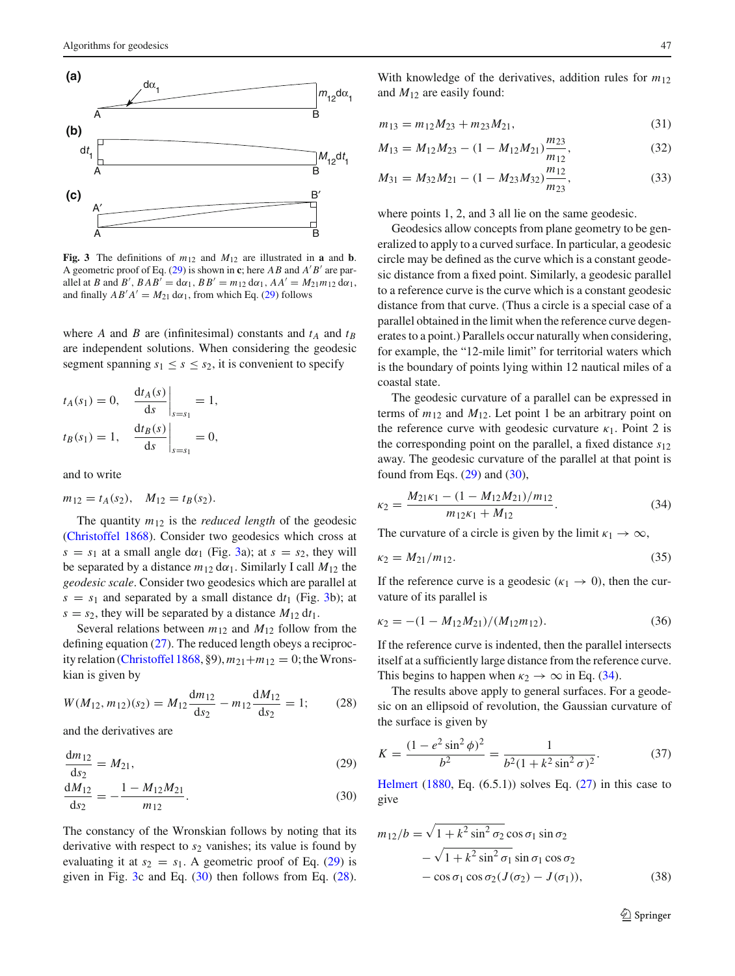

<span id="page-4-1"></span>**Fig. 3** The definitions of  $m_{12}$  and  $M_{12}$  are illustrated in **a** and **b**. A geometric proof of Eq. [\(29\)](#page-4-0) is shown in c; here  $AB$  and  $A'B'$  are parallel at *B* and *B'*,  $BAB' = d\alpha_1$ ,  $BB' = m_{12} d\alpha_1$ ,  $AA' = M_{21}m_{12} d\alpha_1$ , and finally  $AB'A' = M_{21} d\alpha_1$ , from which Eq. [\(29\)](#page-4-0) follows

where *A* and *B* are (infinitesimal) constants and  $t_A$  and  $t_B$ are independent solutions. When considering the geodesic segment spanning  $s_1 \leq s \leq s_2$ , it is convenient to specify

$$
t_A(s_1) = 0,
$$
  $\frac{df_A(s)}{ds}\Big|_{s=s_1} = 1,$   
 $t_B(s_1) = 1,$   $\frac{df_B(s)}{ds}\Big|_{s=s_1} = 0,$ 

and to write

$$
m_{12} = t_A(s_2), \quad M_{12} = t_B(s_2).
$$

The quantity  $m_{12}$  is the *reduced length* of the geodesic [\(Christoffel 1868\)](#page-12-14). Consider two geodesics which cross at  $s = s_1$  at a small angle d $\alpha_1$  (Fig. [3a](#page-4-1)); at  $s = s_2$ , they will be separated by a distance  $m_{12} d\alpha_1$ . Similarly I call  $M_{12}$  the *geodesic scale*. Consider two geodesics which are parallel at  $s = s_1$  and separated by a small distance  $dt_1$  (Fig. [3b](#page-4-1)); at  $s = s_2$ , they will be separated by a distance  $M_{12} dt_1$ .

Several relations between  $m_{12}$  and  $M_{12}$  follow from the defining equation [\(27\)](#page-3-4). The reduced length obeys a reciproc-ity relation [\(Christoffel 1868](#page-12-14), §9),  $m_{21}+m_{12}=0$ ; the Wronskian is given by

<span id="page-4-3"></span>
$$
W(M_{12}, m_{12})(s_2) = M_{12} \frac{dm_{12}}{ds_2} - m_{12} \frac{dM_{12}}{ds_2} = 1; \qquad (28)
$$

and the derivatives are

$$
\frac{dm_{12}}{ds_2} = M_{21},\tag{29}
$$

$$
\frac{dM_{12}}{ds_2} = -\frac{1 - M_{12}M_{21}}{m_{12}}.\t(30)
$$

The constancy of the Wronskian follows by noting that its derivative with respect to  $s_2$  vanishes; its value is found by evaluating it at  $s_2 = s_1$ . A geometric proof of Eq. [\(29\)](#page-4-0) is given in Fig. [3c](#page-4-1) and Eq. [\(30\)](#page-4-2) then follows from Eq. [\(28\)](#page-4-3).

With knowledge of the derivatives, addition rules for *m*<sup>12</sup> and *M*<sup>12</sup> are easily found:

$$
m_{13} = m_{12}M_{23} + m_{23}M_{21}, \tag{31}
$$

$$
M_{13} = M_{12}M_{23} - (1 - M_{12}M_{21})\frac{m_{23}}{m_{12}},
$$
\n(32)

$$
M_{31} = M_{32}M_{21} - (1 - M_{23}M_{32})\frac{m_{12}}{m_{23}},
$$
\n(33)

where points 1, 2, and 3 all lie on the same geodesic.

Geodesics allow concepts from plane geometry to be generalized to apply to a curved surface. In particular, a geodesic circle may be defined as the curve which is a constant geodesic distance from a fixed point. Similarly, a geodesic parallel to a reference curve is the curve which is a constant geodesic distance from that curve. (Thus a circle is a special case of a parallel obtained in the limit when the reference curve degenerates to a point.) Parallels occur naturally when considering, for example, the "12-mile limit" for territorial waters which is the boundary of points lying within 12 nautical miles of a coastal state.

The geodesic curvature of a parallel can be expressed in terms of  $m_{12}$  and  $M_{12}$ . Let point 1 be an arbitrary point on the reference curve with geodesic curvature  $\kappa_1$ . Point 2 is the corresponding point on the parallel, a fixed distance *s*<sup>12</sup> away. The geodesic curvature of the parallel at that point is found from Eqs.  $(29)$  and  $(30)$ ,

<span id="page-4-4"></span>
$$
\kappa_2 = \frac{M_{21}\kappa_1 - (1 - M_{12}M_{21})/m_{12}}{m_{12}\kappa_1 + M_{12}}.\tag{34}
$$

The curvature of a circle is given by the limit  $\kappa_1 \to \infty$ ,

$$
\kappa_2 = M_{21}/m_{12}.\tag{35}
$$

If the reference curve is a geodesic ( $\kappa_1 \rightarrow 0$ ), then the curvature of its parallel is

$$
\kappa_2 = -(1 - M_{12}M_{21})/(M_{12}m_{12}).\tag{36}
$$

If the reference curve is indented, then the parallel intersects itself at a sufficiently large distance from the reference curve. This begins to happen when  $\kappa_2 \rightarrow \infty$  in Eq. [\(34\)](#page-4-4).

The results above apply to general surfaces. For a geodesic on an ellipsoid of revolution, the Gaussian curvature of the surface is given by

<span id="page-4-6"></span>
$$
K = \frac{(1 - e^2 \sin^2 \phi)^2}{b^2} = \frac{1}{b^2 (1 + k^2 \sin^2 \sigma)^2}.
$$
 (37)

<span id="page-4-2"></span><span id="page-4-0"></span>[Helmert](#page-12-5)  $(1880, Eq. (6.5.1))$  $(1880, Eq. (6.5.1))$  solves Eq.  $(27)$  in this case to give

<span id="page-4-5"></span>
$$
m_{12}/b = \sqrt{1 + k^2 \sin^2 \sigma_2} \cos \sigma_1 \sin \sigma_2
$$
  
 
$$
- \sqrt{1 + k^2 \sin^2 \sigma_1} \sin \sigma_1 \cos \sigma_2
$$
  
 
$$
- \cos \sigma_1 \cos \sigma_2 (J(\sigma_2) - J(\sigma_1)), \qquad (38)
$$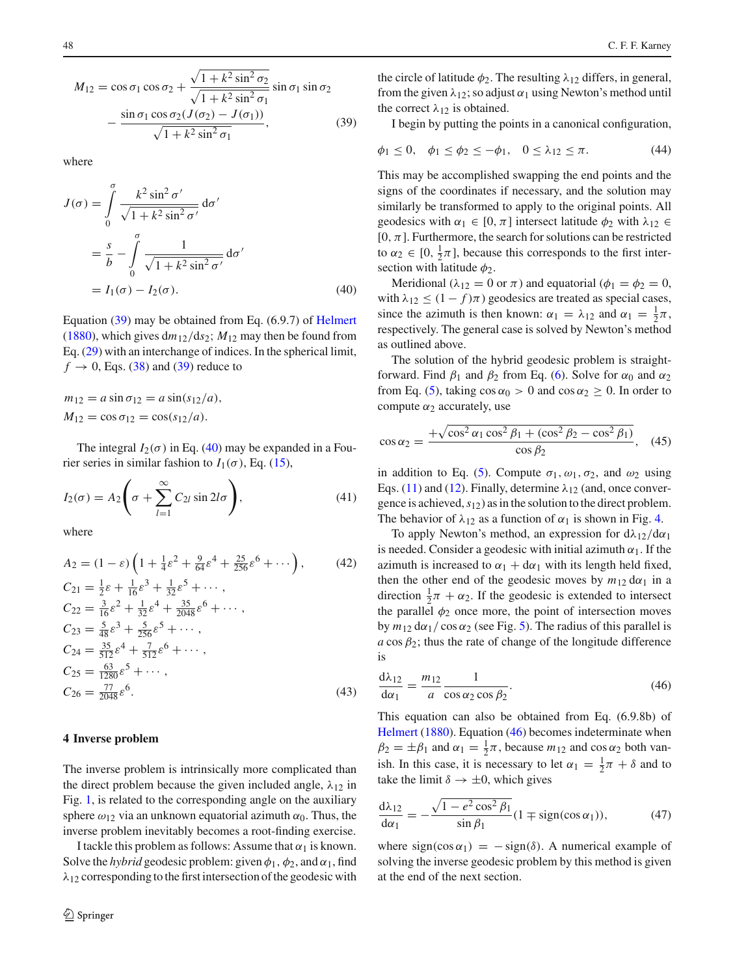$$
M_{12} = \cos \sigma_1 \cos \sigma_2 + \frac{\sqrt{1 + k^2 \sin^2 \sigma_2}}{\sqrt{1 + k^2 \sin^2 \sigma_1}} \sin \sigma_1 \sin \sigma_2 - \frac{\sin \sigma_1 \cos \sigma_2 (J(\sigma_2) - J(\sigma_1))}{\sqrt{1 + k^2 \sin^2 \sigma_1}},
$$
(39)

where

$$
J(\sigma) = \int_0^{\sigma} \frac{k^2 \sin^2 \sigma'}{\sqrt{1 + k^2 \sin^2 \sigma'}} d\sigma'
$$
  
=  $\frac{s}{b} - \int_0^{\sigma} \frac{1}{\sqrt{1 + k^2 \sin^2 \sigma'}} d\sigma'$   
=  $I_1(\sigma) - I_2(\sigma)$ . (40)

Equation [\(39\)](#page-5-1) may be obtained from Eq. (6.9.7) of [Helmert](#page-12-5) [\(1880](#page-12-5)), which gives  $dm_{12}/ds_2$ ;  $M_{12}$  may then be found from Eq. [\(29\)](#page-4-0) with an interchange of indices. In the spherical limit,  $f \rightarrow 0$ , Eqs. [\(38\)](#page-4-5) and [\(39\)](#page-5-1) reduce to

$$
m_{12} = a \sin \sigma_{12} = a \sin(s_{12}/a),
$$
  
\n
$$
M_{12} = \cos \sigma_{12} = \cos(s_{12}/a).
$$

The integral  $I_2(\sigma)$  in Eq. [\(40\)](#page-5-2) may be expanded in a Fourier series in similar fashion to  $I_1(\sigma)$ , Eq. [\(15\)](#page-2-2),

<span id="page-5-8"></span>
$$
I_2(\sigma) = A_2 \left( \sigma + \sum_{l=1}^{\infty} C_{2l} \sin 2l \sigma \right), \tag{41}
$$

where

$$
A_2 = (1 - \varepsilon) \left( 1 + \frac{1}{4} \varepsilon^2 + \frac{9}{64} \varepsilon^4 + \frac{25}{256} \varepsilon^6 + \cdots \right), \qquad (42)
$$
  
\n
$$
C_{21} = \frac{1}{2} \varepsilon + \frac{1}{16} \varepsilon^3 + \frac{1}{32} \varepsilon^5 + \cdots,
$$
  
\n
$$
C_{22} = \frac{3}{16} \varepsilon^2 + \frac{1}{32} \varepsilon^4 + \frac{35}{2048} \varepsilon^6 + \cdots,
$$
  
\n
$$
C_{23} = \frac{5}{48} \varepsilon^3 + \frac{5}{256} \varepsilon^5 + \cdots,
$$
  
\n
$$
C_{24} = \frac{35}{512} \varepsilon^4 + \frac{7}{512} \varepsilon^6 + \cdots,
$$
  
\n
$$
C_{25} = \frac{63}{1280} \varepsilon^5 + \cdots,
$$
  
\n
$$
C_{26} = \frac{77}{2048} \varepsilon^6.
$$
  
\n(43)

# <span id="page-5-0"></span>**4 Inverse problem**

The inverse problem is intrinsically more complicated than the direct problem because the given included angle,  $\lambda_{12}$  in Fig. [1,](#page-1-0) is related to the corresponding angle on the auxiliary sphere  $\omega_{12}$  via an unknown equatorial azimuth  $\alpha_0$ . Thus, the inverse problem inevitably becomes a root-finding exercise.

I tackle this problem as follows: Assume that  $\alpha_1$  is known. Solve the *hybrid* geodesic problem: given  $\phi_1$ ,  $\phi_2$ , and  $\alpha_1$ , find  $\lambda_{12}$  corresponding to the first intersection of the geodesic with <span id="page-5-1"></span>the circle of latitude  $\phi_2$ . The resulting  $\lambda_{12}$  differs, in general, from the given  $\lambda_{12}$ ; so adjust  $\alpha_1$  using Newton's method until the correct  $\lambda_{12}$  is obtained.

I begin by putting the points in a canonical configuration,

<span id="page-5-4"></span>
$$
\phi_1 \le 0, \quad \phi_1 \le \phi_2 \le -\phi_1, \quad 0 \le \lambda_{12} \le \pi.
$$
\n(44)

This may be accomplished swapping the end points and the signs of the coordinates if necessary, and the solution may similarly be transformed to apply to the original points. All geodesics with  $\alpha_1 \in [0, \pi]$  intersect latitude  $\phi_2$  with  $\lambda_{12} \in$  $[0, \pi]$ . Furthermore, the search for solutions can be restricted to  $\alpha_2 \in [0, \frac{1}{2}\pi]$ , because this corresponds to the first intersection with latitude  $\phi_2$ .

<span id="page-5-2"></span>Meridional ( $\lambda_{12} = 0$  or  $\pi$ ) and equatorial ( $\phi_1 = \phi_2 = 0$ , with  $\lambda_{12} \leq (1 - f)\pi$ ) geodesics are treated as special cases, since the azimuth is then known:  $\alpha_1 = \lambda_{12}$  and  $\alpha_1 = \frac{1}{2}\pi$ , respectively. The general case is solved by Newton's method as outlined above.

The solution of the hybrid geodesic problem is straightforward. Find  $\beta_1$  and  $\beta_2$  from Eq. [\(6\)](#page-1-10). Solve for  $\alpha_0$  and  $\alpha_2$ from Eq. [\(5\)](#page-1-5), taking  $\cos \alpha_0 > 0$  and  $\cos \alpha_2 \ge 0$ . In order to compute  $\alpha_2$  accurately, use

<span id="page-5-5"></span>
$$
\cos \alpha_2 = \frac{+\sqrt{\cos^2 \alpha_1 \cos^2 \beta_1 + (\cos^2 \beta_2 - \cos^2 \beta_1)}}{\cos \beta_2}, \quad (45)
$$

in addition to Eq. [\(5\)](#page-1-5). Compute  $\sigma_1, \omega_1, \sigma_2$ , and  $\omega_2$  using Eqs. [\(11\)](#page-2-7) and [\(12\)](#page-2-3). Finally, determine  $\lambda_{12}$  (and, once convergence is achieved,*s*12) as in the solution to the direct problem. The behavior of  $\lambda_{12}$  as a function of  $\alpha_1$  is shown in Fig. [4.](#page-6-1)

<span id="page-5-6"></span>To apply Newton's method, an expression for  $d\lambda_{12}/d\alpha_1$ is needed. Consider a geodesic with initial azimuth  $\alpha_1$ . If the azimuth is increased to  $\alpha_1 + d\alpha_1$  with its length held fixed, then the other end of the geodesic moves by  $m_{12} d\alpha_1$  in a direction  $\frac{1}{2}\pi + \alpha_2$ . If the geodesic is extended to intersect the parallel  $\phi_2$  once more, the point of intersection moves by  $m_{12}$  d $\alpha_1$  / cos  $\alpha_2$  (see Fig. [5\)](#page-6-2). The radius of this parallel is  $a \cos \beta_2$ ; thus the rate of change of the longitude difference is

<span id="page-5-3"></span>
$$
\frac{d\lambda_{12}}{d\alpha_1} = \frac{m_{12}}{a} \frac{1}{\cos\alpha_2 \cos\beta_2}.
$$
 (46)

<span id="page-5-7"></span>This equation can also be obtained from Eq. (6.9.8b) of [Helmert](#page-12-5) [\(1880](#page-12-5)). Equation [\(46\)](#page-5-3) becomes indeterminate when  $\beta_2 = \pm \beta_1$  and  $\alpha_1 = \frac{1}{2}\pi$ , because  $m_{12}$  and  $\cos \alpha_2$  both vanish. In this case, it is necessary to let  $\alpha_1 = \frac{1}{2}\pi + \delta$  and to take the limit  $\delta \rightarrow \pm 0$ , which gives

$$
\frac{\mathrm{d}\lambda_{12}}{\mathrm{d}\alpha_1} = -\frac{\sqrt{1 - e^2 \cos^2 \beta_1}}{\sin \beta_1} (1 \mp \text{sign}(\cos \alpha_1)),\tag{47}
$$

where sign(cos  $\alpha_1$ ) = - sign( $\delta$ ). A numerical example of solving the inverse geodesic problem by this method is given at the end of the next section.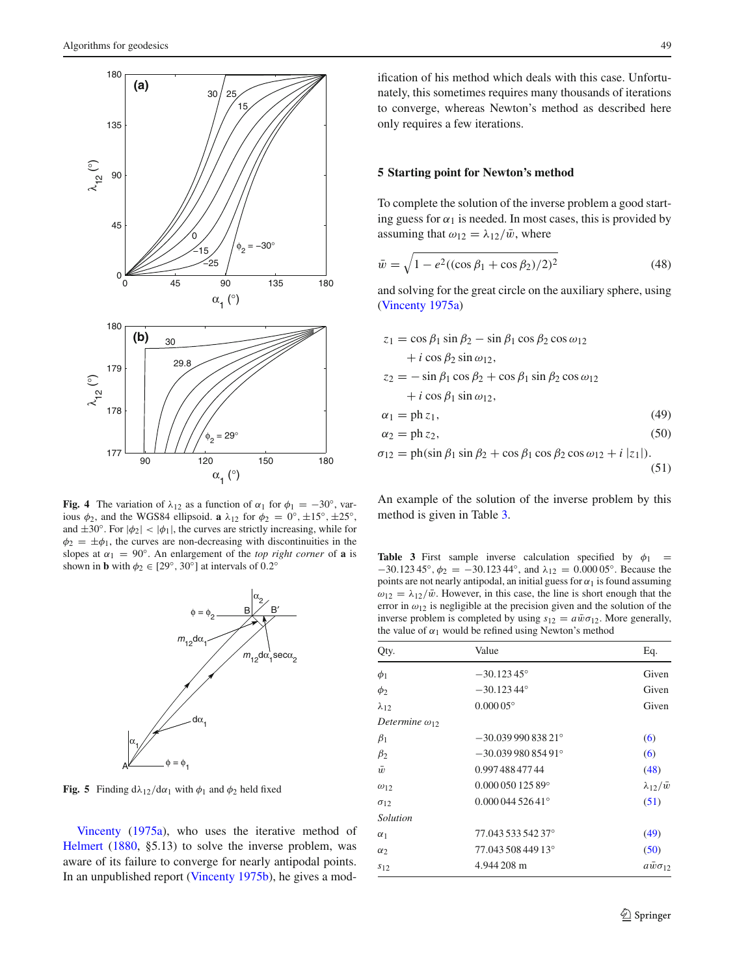

<span id="page-6-1"></span>**Fig. 4** The variation of  $\lambda_{12}$  as a function of  $\alpha_1$  for  $\phi_1 = -30^\circ$ , various  $\phi_2$ , and the WGS84 ellipsoid. **a**  $\lambda_{12}$  for  $\phi_2 = 0^\circ, \pm 15^\circ, \pm 25^\circ$ , and  $\pm 30^\circ$ . For  $|\phi_2| < |\phi_1|$ , the curves are strictly increasing, while for  $\phi_2 = \pm \phi_1$ , the curves are non-decreasing with discontinuities in the slopes at  $\alpha_1 = 90^\circ$ . An enlargement of the *top right corner* of **a** is shown in **b** with  $\phi_2 \in [29^\circ, 30^\circ]$  at intervals of 0.2<sup>°</sup>



<span id="page-6-2"></span>**Fig. 5** Finding  $d\lambda_{12}/d\alpha_1$  with  $\phi_1$  and  $\phi_2$  held fixed

Vincenty [\(1975a\)](#page-12-6), who uses the iterative method of [Helmert](#page-12-5) [\(1880](#page-12-5), §5.13) to solve the inverse problem, was aware of its failure to converge for nearly antipodal points. In an unpublished report [\(Vincenty 1975b\)](#page-12-15), he gives a modification of his method which deals with this case. Unfortunately, this sometimes requires many thousands of iterations to converge, whereas Newton's method as described here only requires a few iterations.

#### <span id="page-6-0"></span>**5 Starting point for Newton's method**

To complete the solution of the inverse problem a good starting guess for  $\alpha_1$  is needed. In most cases, this is provided by assuming that  $\omega_{12} = \lambda_{12}/\bar{w}$ , where

<span id="page-6-4"></span>
$$
\bar{w} = \sqrt{1 - e^2 ((\cos \beta_1 + \cos \beta_2)/2)^2}
$$
 (48)

and solving for the great circle on the auxiliary sphere, using [\(Vincenty 1975a](#page-12-6))

$$
z_1 = \cos \beta_1 \sin \beta_2 - \sin \beta_1 \cos \beta_2 \cos \omega_{12}
$$
  
+  $i \cos \beta_2 \sin \omega_{12}$ ,  

$$
z_2 = -\sin \beta_1 \cos \beta_2 + \cos \beta_1 \sin \beta_2 \cos \omega_{12}
$$
  
+  $i \cos \beta_1 \sin \omega_{12}$ ,  

$$
\alpha_1 = \text{ph } z_1,
$$
 (49)

<span id="page-6-7"></span><span id="page-6-6"></span><span id="page-6-5"></span>
$$
\alpha_2 = \text{ph}\, z_2,\tag{50}
$$

$$
\sigma_{12} = \text{ph}(\sin \beta_1 \sin \beta_2 + \cos \beta_1 \cos \beta_2 \cos \omega_{12} + i |z_1|). \tag{51}
$$

An example of the solution of the inverse problem by this method is given in Table [3.](#page-6-3)

<span id="page-6-3"></span>**Table 3** First sample inverse calculation specified by  $\phi_1$  =  $-30.123\,45^\circ$ ,  $\phi_2 = -30.123\,44^\circ$ , and  $\lambda_{12} = 0.000\,05^\circ$ . Because the points are not nearly antipodal, an initial guess for  $\alpha_1$  is found assuming  $\omega_{12} = \lambda_{12}/\bar{w}$ . However, in this case, the line is short enough that the error in  $\omega_{12}$  is negligible at the precision given and the solution of the inverse problem is completed by using  $s_{12} = a\bar{w}\sigma_{12}$ . More generally, the value of  $\alpha_1$  would be refined using Newton's method

| Qty.                    | Value                     | Eq.                    |
|-------------------------|---------------------------|------------------------|
| $\phi_1$                | $-30.12345^{\circ}$       | Given                  |
| $\phi_2$                | $-30.12344^{\circ}$       | Given                  |
| $\lambda_{12}$          | $0.00005$ °               | Given                  |
| Determine $\omega_{12}$ |                           |                        |
| $\beta_1$               | $-30.03999083821$ °       | (6)                    |
| $\beta_2$               | $-30.03998085491^{\circ}$ | (6)                    |
| $\bar{w}$               | 0.997 488 477 44          | (48)                   |
| $\omega_{12}$           | $0.00005012589$ °         | $\lambda_{12}/\bar{w}$ |
| $\sigma_{12}$           | $0.00004452641^{\circ}$   | (51)                   |
| Solution                |                           |                        |
| $\alpha_1$              | 77.043 533 542 37°        | (49)                   |
| $\alpha_2$              | 77.043 508 449 13°        | (50)                   |
| $s_{12}$                | 4.944 208 m               | $a\bar{w}\sigma_{12}$  |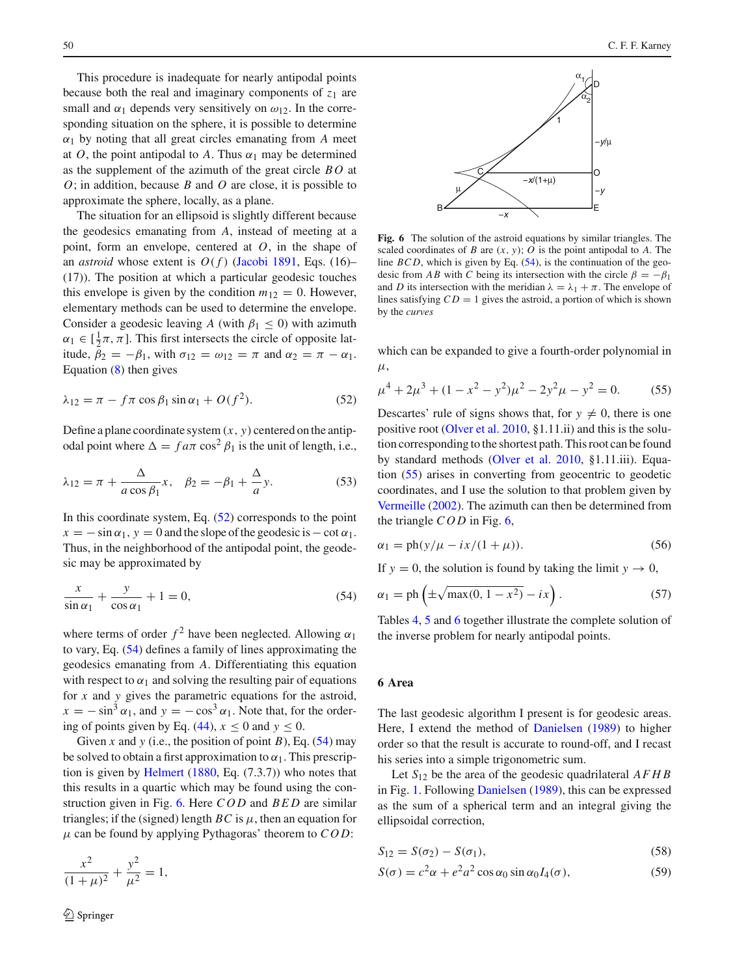This procedure is inadequate for nearly antipodal points because both the real and imaginary components of  $z_1$  are small and  $\alpha_1$  depends very sensitively on  $\omega_{12}$ . In the corresponding situation on the sphere, it is possible to determine  $\alpha_1$  by noting that all great circles emanating from *A* meet at *O*, the point antipodal to *A*. Thus  $\alpha_1$  may be determined as the supplement of the azimuth of the great circle *B O* at *O*; in addition, because *B* and *O* are close, it is possible to approximate the sphere, locally, as a plane.

The situation for an ellipsoid is slightly different because the geodesics emanating from *A*, instead of meeting at a point, form an envelope, centered at *O*, in the shape of an *astroid* whose extent is  $O(f)$  [\(Jacobi 1891,](#page-12-16) Eqs. (16)– (17)). The position at which a particular geodesic touches this envelope is given by the condition  $m_{12} = 0$ . However, elementary methods can be used to determine the envelope. Consider a geodesic leaving *A* (with  $\beta_1 \leq 0$ ) with azimuth  $\alpha_1 \in [\frac{1}{2}\pi, \pi]$ . This first intersects the circle of opposite latitude,  $\beta_2 = -\beta_1$ , with  $\sigma_{12} = \omega_{12} = \pi$  and  $\alpha_2 = \pi - \alpha_1$ . Equation [\(8\)](#page-1-4) then gives

<span id="page-7-1"></span>
$$
\lambda_{12} = \pi - f\pi \cos \beta_1 \sin \alpha_1 + O(f^2). \tag{52}
$$

Define a plane coordinate system  $(x, y)$  centered on the antipodal point where  $\Delta = f a \pi \cos^2 \beta_1$  is the unit of length, i.e.,

<span id="page-7-6"></span>
$$
\lambda_{12} = \pi + \frac{\Delta}{a \cos \beta_1} x, \quad \beta_2 = -\beta_1 + \frac{\Delta}{a} y. \tag{53}
$$

In this coordinate system, Eq.  $(52)$  corresponds to the point  $x = -\sin \alpha_1$ ,  $y = 0$  and the slope of the geodesic is  $-\cot \alpha_1$ . Thus, in the neighborhood of the antipodal point, the geodesic may be approximated by

<span id="page-7-2"></span>
$$
\frac{x}{\sin \alpha_1} + \frac{y}{\cos \alpha_1} + 1 = 0,\tag{54}
$$

where terms of order  $f^2$  have been neglected. Allowing  $\alpha_1$ to vary, Eq. [\(54\)](#page-7-2) defines a family of lines approximating the geodesics emanating from *A*. Differentiating this equation with respect to  $\alpha_1$  and solving the resulting pair of equations for *x* and *y* gives the parametric equations for the astroid,  $x = -\sin^3 \alpha_1$ , and  $y = -\cos^3 \alpha_1$ . Note that, for the order-ing of points given by Eq. [\(44\)](#page-5-4),  $x \le 0$  and  $y \le 0$ .

Given *x* and *y* (i.e., the position of point *B*), Eq. [\(54\)](#page-7-2) may be solved to obtain a first approximation to  $\alpha_1$ . This prescription is given by [Helmert](#page-12-5) [\(1880](#page-12-5), Eq. (7.3.7)) who notes that this results in a quartic which may be found using the construction given in Fig. [6.](#page-7-3) Here *COD* and *BED* are similar triangles; if the (signed) length  $BC$  is  $\mu$ , then an equation for  $\mu$  can be found by applying Pythagoras' theorem to  $COD$ :

$$
\frac{x^2}{(1+\mu)^2} + \frac{y^2}{\mu^2} = 1,
$$



<span id="page-7-3"></span>**Fig. 6** The solution of the astroid equations by similar triangles. The scaled coordinates of *B* are  $(x, y)$ ; *O* is the point antipodal to *A*. The line  $BCD$ , which is given by Eq.  $(54)$ , is the continuation of the geodesic from *AB* with *C* being its intersection with the circle  $\beta = -\beta_1$ and *D* its intersection with the meridian  $\lambda = \lambda_1 + \pi$ . The envelope of lines satisfying  $CD = 1$  gives the astroid, a portion of which is shown by the *curves*

which can be expanded to give a fourth-order polynomial in  $\mu$ .

<span id="page-7-4"></span>
$$
\mu^4 + 2\mu^3 + (1 - x^2 - y^2)\mu^2 - 2y^2\mu - y^2 = 0.
$$
 (55)

Descartes' rule of signs shows that, for  $y \neq 0$ , there is one positive root [\(Olver et al. 2010](#page-12-11), §1.11.ii) and this is the solution corresponding to the shortest path. This root can be found by standard methods [\(Olver et al. 2010,](#page-12-11) §1.11.iii). Equation [\(55\)](#page-7-4) arises in converting from geocentric to geodetic coordinates, and I use the solution to that problem given by [Vermeille](#page-12-17) [\(2002](#page-12-17)). The azimuth can then be determined from the triangle *COD* in Fig. [6,](#page-7-3)

<span id="page-7-7"></span>
$$
\alpha_1 = \frac{\text{ph}(y/\mu - ix/(1 + \mu))}{\text{.}}\tag{56}
$$

If  $y = 0$ , the solution is found by taking the limit  $y \to 0$ ,

<span id="page-7-5"></span>
$$
\alpha_1 = \text{ph}\left(\pm\sqrt{\max(0, 1 - x^2)} - ix\right). \tag{57}
$$

Tables [4,](#page-8-1) [5](#page-8-2) and [6](#page-9-1) together illustrate the complete solution of the inverse problem for nearly antipodal points.

#### <span id="page-7-0"></span>**6 Area**

The last geodesic algorithm I present is for geodesic areas. Here, I extend the method of [Danielsen](#page-12-8) [\(1989\)](#page-12-8) to higher order so that the result is accurate to round-off, and I recast his series into a simple trigonometric sum.

Let *S*<sup>12</sup> be the area of the geodesic quadrilateral *AFHB* in Fig. [1.](#page-1-0) Following [Danielsen](#page-12-8) [\(1989](#page-12-8)), this can be expressed as the sum of a spherical term and an integral giving the ellipsoidal correction,

<span id="page-7-8"></span>
$$
S_{12} = S(\sigma_2) - S(\sigma_1),\tag{58}
$$

<span id="page-7-9"></span>
$$
S(\sigma) = c^2 \alpha + e^2 a^2 \cos \alpha_0 \sin \alpha_0 I_4(\sigma), \qquad (59)
$$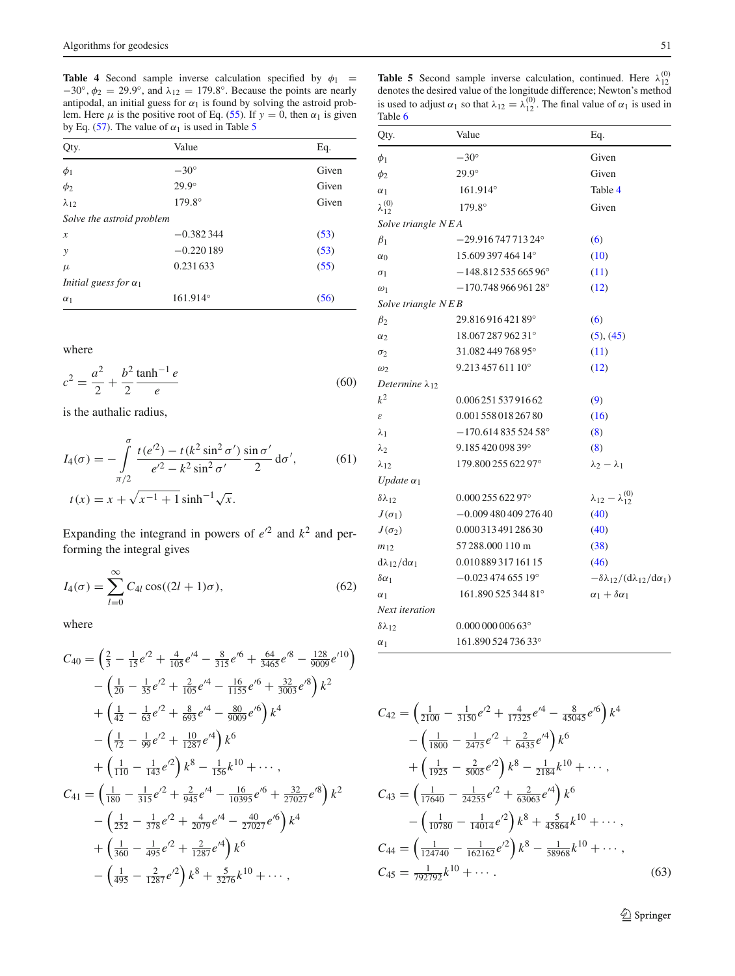<span id="page-8-1"></span>**Table 4** Second sample inverse calculation specified by  $\phi_1$  =  $-30^\circ$ ,  $\phi_2 = 29.9^\circ$ , and  $\lambda_{12} = 179.8^\circ$ . Because the points are nearly antipodal, an initial guess for  $\alpha_1$  is found by solving the astroid problem. Here  $\mu$  is the positive root of Eq. [\(55\)](#page-7-4). If  $y = 0$ , then  $\alpha_1$  is given by Eq. [\(57\)](#page-7-5). The value of  $\alpha_1$  is used in Table [5](#page-8-2)

| Qty.                                | Value             | Eq.   |
|-------------------------------------|-------------------|-------|
| $\phi_1$                            | $-30^\circ$       | Given |
| $\phi_2$                            | $29.9^\circ$      | Given |
| $\lambda_{12}$                      | 179.8°            | Given |
| Solve the astroid problem           |                   |       |
| $\boldsymbol{x}$                    | $-0.382344$       | (53)  |
| у                                   | $-0.220189$       | (53)  |
| $\mu$                               | 0.231633          | (55)  |
| <i>Initial guess for</i> $\alpha_1$ |                   |       |
| $\alpha_1$                          | $161.914^{\circ}$ | (56)  |

where

<span id="page-8-0"></span>
$$
c^2 = \frac{a^2}{2} + \frac{b^2}{2} \frac{\tanh^{-1} e}{e}
$$
 (60)

is the authalic radius,

$$
I_4(\sigma) = -\int_{\pi/2}^{\sigma} \frac{t(e^{t/2}) - t(k^2 \sin^2 \sigma')}{e^{t/2} - k^2 \sin^2 \sigma'} \frac{\sin \sigma'}{2} d\sigma',
$$
 (61)  

$$
t(x) = x + \sqrt{x^{-1} + 1} \sinh^{-1} \sqrt{x}.
$$

Expanding the integrand in powers of  $e^{2}$  and  $k^{2}$  and performing the integral gives

<span id="page-8-4"></span>
$$
I_4(\sigma) = \sum_{l=0}^{\infty} C_{4l} \cos((2l+1)\sigma), \qquad (62)
$$

where

$$
C_{40} = \left(\frac{2}{3} - \frac{1}{15}e^{t2} + \frac{4}{105}e^{t4} - \frac{8}{315}e^{t6} + \frac{64}{3465}e^{t8} - \frac{128}{9009}e^{t10}\right) - \left(\frac{1}{20} - \frac{1}{35}e^{t2} + \frac{2}{105}e^{t4} - \frac{16}{1155}e^{t6} + \frac{32}{3003}e^{t8}\right)k^2 + \left(\frac{1}{42} - \frac{1}{63}e^{t2} + \frac{8}{693}e^{t4} - \frac{80}{9009}e^{t6}\right)k^4 - \left(\frac{1}{72} - \frac{1}{99}e^{t2} + \frac{10}{1287}e^{t4}\right)k^6 + \left(\frac{1}{110} - \frac{1}{143}e^{t2}\right)k^8 - \frac{1}{156}k^{10} + \cdots,
$$
  

$$
C_{41} = \left(\frac{1}{180} - \frac{1}{315}e^{t2} + \frac{2}{945}e^{t4} - \frac{16}{10395}e^{t6} + \frac{32}{27027}e^{t8}\right)k^2 - \left(\frac{1}{252} - \frac{1}{378}e^{t2} + \frac{4}{2079}e^{t4} - \frac{40}{27027}e^{t6}\right)k^4 + \left(\frac{1}{360} - \frac{1}{495}e^{t2} + \frac{2}{1287}e^{t4}\right)k^6 - \left(\frac{1}{495} - \frac{2}{1287}e^{t2}\right)k^8 + \frac{5}{3276}k^{10} + \cdots,
$$

<span id="page-8-2"></span>**Table 5** Second sample inverse calculation, continued. Here  $\lambda_{12}^{(0)}$  denotes the desired value of the longitude difference; Newton's method is used to adjust  $\alpha_1$  so that  $\lambda_{12} = \lambda_{12}^{(0)}$ . The final value of  $\alpha_1$  is used in Table [6](#page-9-1)

| Qty.                              | Value                     | Eq.                                                               |
|-----------------------------------|---------------------------|-------------------------------------------------------------------|
| $\phi_1$                          | $-30^\circ$               | Given                                                             |
| $\phi_2$                          | $29.9^\circ$              | Given                                                             |
| $\alpha_1$                        | $161.914^{\circ}$         | Table 4                                                           |
| $\scriptstyle \lambda^{(0)}_{12}$ | $179.8^{\circ}$           | Given                                                             |
| Solve triangle NEA                |                           |                                                                   |
| $\beta_1$                         | $-29.91674771324^{\circ}$ | (6)                                                               |
| $\alpha_0$                        | 15.609 397 464 14°        | (10)                                                              |
| $\sigma_1$                        | $-148.81253566596°$       | (11)                                                              |
| $\omega_1$                        | $-170.74896696128$ °      | (12)                                                              |
| Solve triangle NEB                |                           |                                                                   |
| $\beta_2$                         | 29.81691642189°           | (6)                                                               |
| $\alpha_2$                        | 18.067 287 962 31°        | (5), (45)                                                         |
| $\sigma_2$                        | 31.082 449 768 95°        | (11)                                                              |
| $\omega_2$                        | $9.21345761110^{\circ}$   | (12)                                                              |
| Determine $\lambda_{12}$          |                           |                                                                   |
| $k^2$                             | 0.00625153791662          | (9)                                                               |
| $\boldsymbol{\mathcal{E}}$        | 0.001 558 018 267 80      | (16)                                                              |
| $\lambda_1$                       | $-170.61483552458$ °      | (8)                                                               |
| $\lambda_2$                       | 9.18542009839°            | (8)                                                               |
| $\lambda_{12}$                    | 179.800 255 622 97°       | $\lambda_2 - \lambda_1$                                           |
| Update $\alpha_1$                 |                           |                                                                   |
| $\delta \lambda_{12}$             | 0.00025562297°            | $\lambda_{12} - \lambda_{12}^{(0)}$                               |
| $J(\sigma_{\rm l})$               | $-0.00948040927640$       | (40)                                                              |
| $J(\sigma_2)$                     | 0.00031349128630          | (40)                                                              |
| $m_{12}$                          | 57 288,000 110 m          | (38)                                                              |
| $d\lambda_{12}/d\alpha_1$         | 0.01088931716115          | (46)                                                              |
| $\delta \alpha_1$                 | $-0.02347465519$ °        | $-\delta\lambda_{12}/(\mathrm{d}\lambda_{12}/\mathrm{d}\alpha_1)$ |
| $\alpha_1$                        | 161.890 525 344 81°       | $\alpha_1 + \delta \alpha_1$                                      |
| Next iteration                    |                           |                                                                   |
| $\delta\lambda_{12}$              | $0.00000000663$ °         |                                                                   |
| $\alpha_1$                        | 161.890 524 736 33°       |                                                                   |

$$
C_{42} = \left(\frac{1}{2100} - \frac{1}{3150}e^{t^2} + \frac{4}{17325}e^{t^4} - \frac{8}{45045}e^{t^6}\right)k^4
$$

$$
- \left(\frac{1}{1800} - \frac{1}{2475}e^{t^2} + \frac{2}{6435}e^{t^4}\right)k^6
$$

$$
+ \left(\frac{1}{1925} - \frac{2}{5005}e^{t^2}\right)k^8 - \frac{1}{2184}k^{10} + \cdots,
$$

$$
C_{43} = \left(\frac{1}{17640} - \frac{1}{24255}e^{t^2} + \frac{2}{63063}e^{t^4}\right)k^6
$$

$$
- \left(\frac{1}{10780} - \frac{1}{14014}e^{t^2}\right)k^8 + \frac{5}{45864}k^{10} + \cdots,
$$

$$
C_{44} = \left(\frac{1}{124740} - \frac{1}{162162}e^{t^2}\right)k^8 - \frac{1}{58968}k^{10} + \cdots,
$$

$$
C_{45} = \frac{1}{792792}k^{10} + \cdots.
$$

$$
(63)
$$

<span id="page-8-3"></span><sup>2</sup> Springer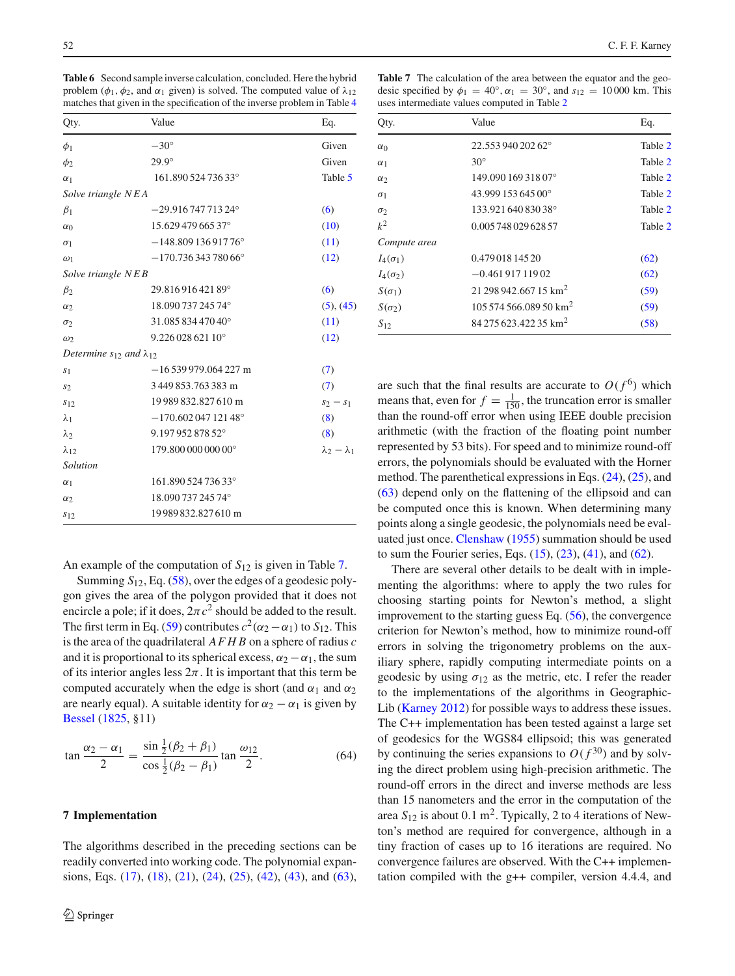<span id="page-9-1"></span>**Table 6** Second sample inverse calculation, concluded. Here the hybrid problem ( $\phi_1$ ,  $\phi_2$ , and  $\alpha_1$  given) is solved. The computed value of  $\lambda_{12}$ matches that given in the specification of the inverse problem in Table [4](#page-8-1)

| Qty.                                  | Value                     | Eq.                     |
|---------------------------------------|---------------------------|-------------------------|
| $\phi_1$                              | $-30^\circ$               | Given                   |
| $\phi_2$                              | $29.9^\circ$              | Given                   |
| $\alpha_1$                            | 161.890 524 736 33°       | Table 5                 |
| Solve triangle NEA                    |                           |                         |
| $\beta_1$                             | $-29.91674771324^{\circ}$ | (6)                     |
| $\alpha_0$                            | 15.629 479 665 37°        | (10)                    |
| $\sigma_1$                            | $-148.80913691776$ °      | (11)                    |
| $\omega_1$                            | $-170.73634378066$ °      | (12)                    |
| Solve triangle NEB                    |                           |                         |
| $\beta_2$                             | 29.81691642189°           | (6)                     |
| $\alpha$                              | 18.090 737 245 74°        | (5), (45)               |
| $\sigma_2$                            | 31.08583447040°           | (11)                    |
| $\omega$                              | 9.226 028 621 10°         | (12)                    |
| Determine $s_{12}$ and $\lambda_{12}$ |                           |                         |
| S <sub>1</sub>                        | $-16539979.064227$ m      | (7)                     |
| s <sub>2</sub>                        | 3449853.763383 m          | (7)                     |
| $s_{12}$                              | 19989832.827610 m         | $s_2 - s_1$             |
| $\lambda_1$                           | $-170.60204712148°$       | (8)                     |
| $\lambda_2$                           | 9.197 952 878 52°         | (8)                     |
| $\lambda_{12}$                        | 179.800 000 000 00°       | $\lambda_2 - \lambda_1$ |
| Solution                              |                           |                         |
| $\alpha_1$                            | 161.890 524 736 33°       |                         |
| $\alpha_2$                            | 18.090 737 245 74°        |                         |
| $s_{12}$                              | 19989832.827610 m         |                         |

An example of the computation of *S*<sup>12</sup> is given in Table [7.](#page-9-2)

Summing *S*12, Eq. [\(58\)](#page-7-8), over the edges of a geodesic polygon gives the area of the polygon provided that it does not encircle a pole; if it does,  $2\pi c^2$  should be added to the result. The first term in Eq. [\(59\)](#page-7-9) contributes  $c^2(\alpha_2 - \alpha_1)$  to  $S_{12}$ . This is the area of the quadrilateral *AFHB* on a sphere of radius *c* and it is proportional to its spherical excess,  $\alpha_2 - \alpha_1$ , the sum of its interior angles less  $2\pi$ . It is important that this term be computed accurately when the edge is short (and  $\alpha_1$  and  $\alpha_2$ ) are nearly equal). A suitable identity for  $\alpha_2 - \alpha_1$  is given by [Bessel](#page-12-4) [\(1825,](#page-12-4) §11)

$$
\tan \frac{\alpha_2 - \alpha_1}{2} = \frac{\sin \frac{1}{2} (\beta_2 + \beta_1)}{\cos \frac{1}{2} (\beta_2 - \beta_1)} \tan \frac{\omega_{12}}{2}.
$$
 (64)

#### <span id="page-9-0"></span>**7 Implementation**

The algorithms described in the preceding sections can be readily converted into working code. The polynomial expansions, Eqs. [\(17\)](#page-2-9), [\(18\)](#page-2-12), [\(21\)](#page-2-13), [\(24\)](#page-2-11), [\(25\)](#page-3-5), [\(42\)](#page-5-6), [\(43\)](#page-5-7), and [\(63\)](#page-8-3),

<span id="page-9-2"></span>**Table 7** The calculation of the area between the equator and the geodesic specified by  $\phi_1 = 40^\circ$ ,  $\alpha_1 = 30^\circ$ , and  $s_{12} = 10000$  km. This uses intermediate values computed in Table [2](#page-3-2)

| Qty.            | Value                             | Eq.     |
|-----------------|-----------------------------------|---------|
| $\alpha_0$      | 22.553 940 202 62°                | Table 2 |
| $\alpha_1$      | $30^\circ$                        | Table 2 |
| $\alpha_2$      | 149.090 169 318 07°               | Table 2 |
| $\sigma_1$      | 43.999 153 645 00°                | Table 2 |
| $\sigma_2$      | 133.921 640 830 38°               | Table 2 |
| $k^2$           | 0.005 748 029 628 57              | Table 2 |
| Compute area    |                                   |         |
| $I_4(\sigma_1)$ | 0.47901814520                     | (62)    |
| $I_4(\sigma_2)$ | $-0.46191711902$                  | (62)    |
| $S(\sigma_1)$   | 21 298 942,667 15 km <sup>2</sup> | (59)    |
| $S(\sigma_2)$   | $10557456608950$ km <sup>2</sup>  | (59)    |
| $S_{12}$        | 84 275 623.422 35 km <sup>2</sup> | (58)    |

are such that the final results are accurate to  $O(f^6)$  which means that, even for  $f = \frac{1}{150}$ , the truncation error is smaller than the round-off error when using IEEE double precision arithmetic (with the fraction of the floating point number represented by 53 bits). For speed and to minimize round-off errors, the polynomials should be evaluated with the Horner method. The parenthetical expressions in Eqs. [\(24\)](#page-2-11), [\(25\)](#page-3-5), and [\(63\)](#page-8-3) depend only on the flattening of the ellipsoid and can be computed once this is known. When determining many points along a single geodesic, the polynomials need be evaluated just once. [Clenshaw](#page-12-18) [\(1955](#page-12-18)) summation should be used to sum the Fourier series, Eqs.  $(15)$ ,  $(23)$ ,  $(41)$ , and  $(62)$ .

There are several other details to be dealt with in implementing the algorithms: where to apply the two rules for choosing starting points for Newton's method, a slight improvement to the starting guess Eq. [\(56\)](#page-7-7), the convergence criterion for Newton's method, how to minimize round-off errors in solving the trigonometry problems on the auxiliary sphere, rapidly computing intermediate points on a geodesic by using  $\sigma_{12}$  as the metric, etc. I refer the reader to the implementations of the algorithms in Geographic-Lib [\(Karney 2012](#page-12-19)) for possible ways to address these issues. The C++ implementation has been tested against a large set of geodesics for the WGS84 ellipsoid; this was generated by continuing the series expansions to  $O(f^{30})$  and by solving the direct problem using high-precision arithmetic. The round-off errors in the direct and inverse methods are less than 15 nanometers and the error in the computation of the area  $S_{12}$  is about 0.1 m<sup>2</sup>. Typically, 2 to 4 iterations of Newton's method are required for convergence, although in a tiny fraction of cases up to 16 iterations are required. No convergence failures are observed. With the C++ implementation compiled with the g++ compiler, version 4.4.4, and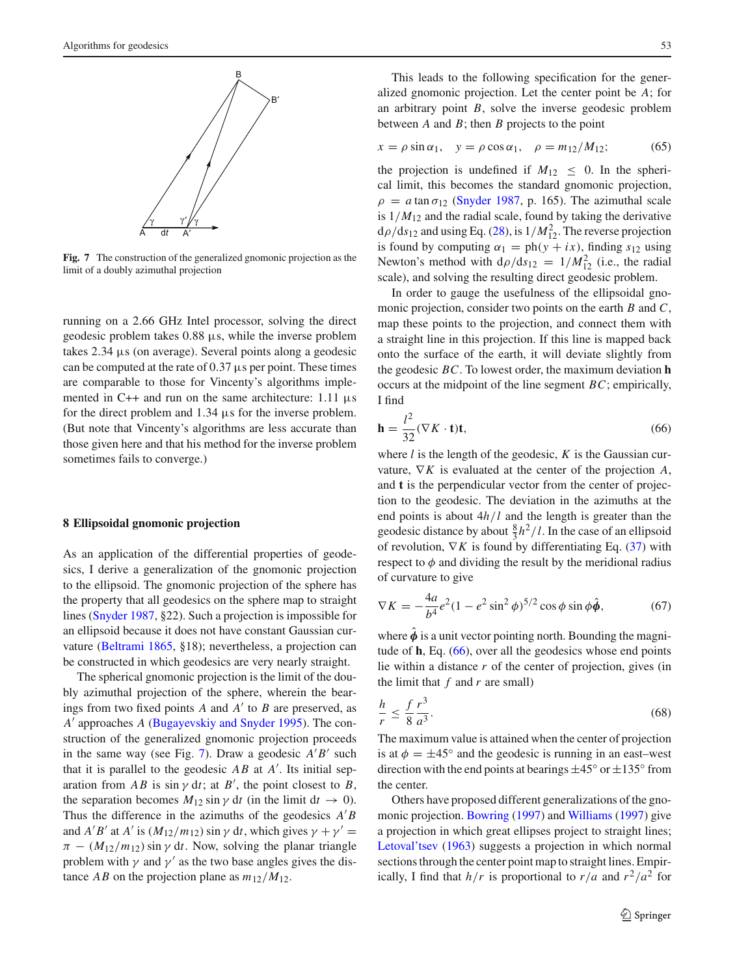

<span id="page-10-1"></span>**Fig. 7** The construction of the generalized gnomonic projection as the limit of a doubly azimuthal projection

running on a 2.66 GHz Intel processor, solving the direct geodesic problem takes  $0.88 \mu s$ , while the inverse problem takes 2.34 µs (on average). Several points along a geodesic can be computed at the rate of  $0.37 \mu s$  per point. These times are comparable to those for Vincenty's algorithms implemented in C++ and run on the same architecture:  $1.11 \mu s$ for the direct problem and  $1.34 \mu s$  for the inverse problem. (But note that Vincenty's algorithms are less accurate than those given here and that his method for the inverse problem sometimes fails to converge.)

### <span id="page-10-0"></span>**8 Ellipsoidal gnomonic projection**

As an application of the differential properties of geodesics, I derive a generalization of the gnomonic projection to the ellipsoid. The gnomonic projection of the sphere has the property that all geodesics on the sphere map to straight lines [\(Snyder 1987](#page-12-20), §22). Such a projection is impossible for an ellipsoid because it does not have constant Gaussian curvature [\(Beltrami 1865,](#page-12-21) §18); nevertheless, a projection can be constructed in which geodesics are very nearly straight.

The spherical gnomonic projection is the limit of the doubly azimuthal projection of the sphere, wherein the bearings from two fixed points  $A$  and  $A'$  to  $B$  are preserved, as *A*- approaches *A* [\(Bugayevskiy and Snyder 1995](#page-12-22)). The construction of the generalized gnomonic projection proceeds in the same way (see Fig. [7\)](#page-10-1). Draw a geodesic  $A'B'$  such that it is parallel to the geodesic  $AB$  at  $A'$ . Its initial separation from  $AB$  is  $\sin \gamma \, dt$ ; at  $B'$ , the point closest to  $B$ , the separation becomes  $M_{12}$  sin  $\gamma$  dt (in the limit dt  $\rightarrow$  0). Thus the difference in the azimuths of the geodesics  $A'B$ and *A'B'* at *A'* is  $(M_{12}/m_{12})$  sin  $\gamma$  dt, which gives  $\gamma + \gamma' =$  $\pi - (M_{12}/m_{12}) \sin \gamma \, dt$ . Now, solving the planar triangle problem with  $\gamma$  and  $\gamma'$  as the two base angles gives the distance *AB* on the projection plane as  $m_{12}/M_{12}$ .

This leads to the following specification for the generalized gnomonic projection. Let the center point be *A*; for an arbitrary point *B*, solve the inverse geodesic problem between *A* and *B*; then *B* projects to the point

<span id="page-10-3"></span>
$$
x = \rho \sin \alpha_1, \quad y = \rho \cos \alpha_1, \quad \rho = m_{12}/M_{12}; \tag{65}
$$

the projection is undefined if  $M_{12} \leq 0$ . In the spherical limit, this becomes the standard gnomonic projection,  $\rho = a \tan \sigma_{12}$  [\(Snyder 1987,](#page-12-20) p. 165). The azimuthal scale is  $1/M_{12}$  and the radial scale, found by taking the derivative  $d\rho/ds_{12}$  and using Eq. [\(28\)](#page-4-3), is  $1/M_{12}^2$ . The reverse projection is found by computing  $\alpha_1 = \text{ph}(y + ix)$ , finding  $s_{12}$  using Newton's method with  $d\rho/ds_{12} = 1/M_{12}^2$  (i.e., the radial scale), and solving the resulting direct geodesic problem.

In order to gauge the usefulness of the ellipsoidal gnomonic projection, consider two points on the earth *B* and *C*, map these points to the projection, and connect them with a straight line in this projection. If this line is mapped back onto the surface of the earth, it will deviate slightly from the geodesic *BC*. To lowest order, the maximum deviation **h** occurs at the midpoint of the line segment *BC*; empirically, I find

<span id="page-10-2"></span>
$$
\mathbf{h} = \frac{l^2}{32} (\nabla K \cdot \mathbf{t}) \mathbf{t},\tag{66}
$$

where *l* is the length of the geodesic, *K* is the Gaussian curvature, ∇*K* is evaluated at the center of the projection *A*, and **t** is the perpendicular vector from the center of projection to the geodesic. The deviation in the azimuths at the end points is about 4*h*/*l* and the length is greater than the geodesic distance by about  $\frac{8}{3}h^2/l$ . In the case of an ellipsoid of revolution,  $\nabla K$  is found by differentiating Eq. [\(37\)](#page-4-6) with respect to  $\phi$  and dividing the result by the meridional radius of curvature to give

$$
\nabla K = -\frac{4a}{b^4}e^2(1 - e^2\sin^2\phi)^{5/2}\cos\phi\sin\phi\hat{\phi},
$$
 (67)

where  $\hat{\phi}$  is a unit vector pointing north. Bounding the magnitude of **h**, Eq. [\(66\)](#page-10-2), over all the geodesics whose end points lie within a distance *r* of the center of projection, gives (in the limit that *f* and *r* are small)

$$
\frac{h}{r} \le \frac{f}{8} \frac{r^3}{a^3}.\tag{68}
$$

The maximum value is attained when the center of projection is at  $\phi = \pm 45^{\circ}$  and the geodesic is running in an east–west direction with the end points at bearings  $\pm 45^\circ$  or  $\pm 135^\circ$  from the center.

Others have proposed different generalizations of the gnomonic projection. [Bowring](#page-12-23) [\(1997](#page-12-23)) and [Williams](#page-12-24) [\(1997\)](#page-12-24) give a projection in which great ellipses project to straight lines; [Letoval'tsev](#page-12-25) [\(1963\)](#page-12-25) suggests a projection in which normal sections through the center point map to straight lines. Empirically, I find that  $h/r$  is proportional to  $r/a$  and  $r^2/a^2$  for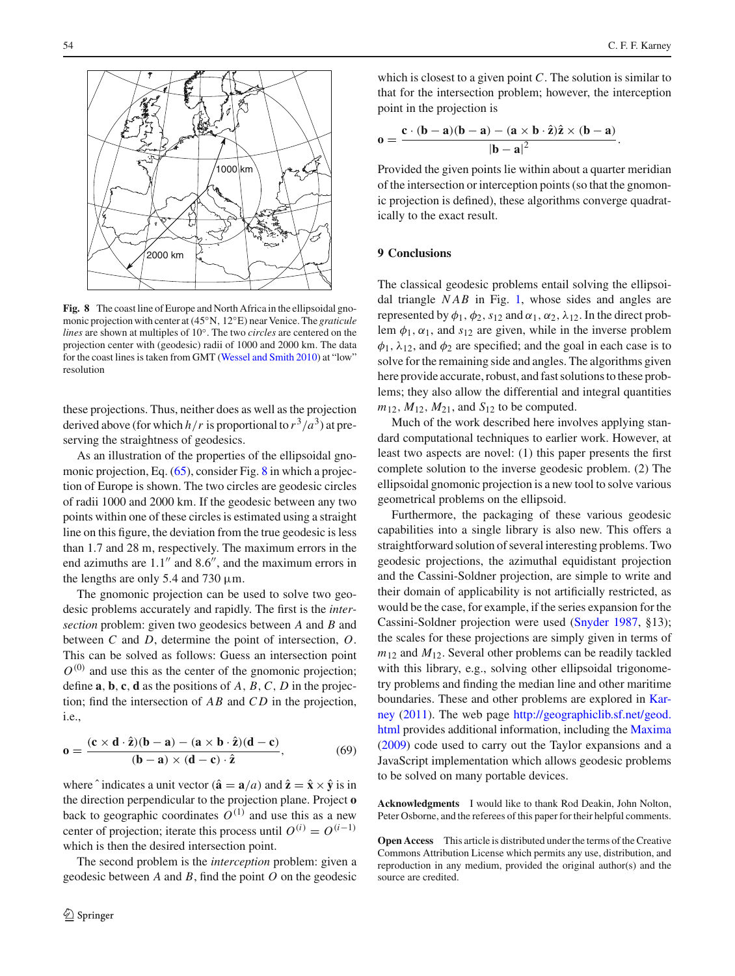

<span id="page-11-0"></span>**Fig. 8** The coast line of Europe and North Africa in the ellipsoidal gnomonic projection with center at(45◦N, 12◦E) near Venice. The *graticule lines* are shown at multiples of 10◦. The two *circles* are centered on the projection center with (geodesic) radii of 1000 and 2000 km. The data for the coast lines is taken from GMT [\(Wessel and Smith 2010](#page-12-26)) at "low" resolution

these projections. Thus, neither does as well as the projection derived above (for which  $h/r$  is proportional to  $r^3/a^3$ ) at preserving the straightness of geodesics.

As an illustration of the properties of the ellipsoidal gno-monic projection, Eq. [\(65\)](#page-10-3), consider Fig. [8](#page-11-0) in which a projection of Europe is shown. The two circles are geodesic circles of radii 1000 and 2000 km. If the geodesic between any two points within one of these circles is estimated using a straight line on this figure, the deviation from the true geodesic is less than 1.7 and 28 m, respectively. The maximum errors in the end azimuths are  $1.1''$  and  $8.6''$ , and the maximum errors in the lengths are only 5.4 and 730  $\mu$ m.

The gnomonic projection can be used to solve two geodesic problems accurately and rapidly. The first is the *intersection* problem: given two geodesics between *A* and *B* and between *C* and *D*, determine the point of intersection, *O*. This can be solved as follows: Guess an intersection point  $O^{(0)}$  and use this as the center of the gnomonic projection; define **a**, **b**, **c**, **d** as the positions of *A*, *B*,*C*, *D* in the projection; find the intersection of *AB* and *C D* in the projection, i.e.,

$$
\mathbf{0} = \frac{(\mathbf{c} \times \mathbf{d} \cdot \hat{\mathbf{z}})(\mathbf{b} - \mathbf{a}) - (\mathbf{a} \times \mathbf{b} \cdot \hat{\mathbf{z}})(\mathbf{d} - \mathbf{c})}{(\mathbf{b} - \mathbf{a}) \times (\mathbf{d} - \mathbf{c}) \cdot \hat{\mathbf{z}}},\tag{69}
$$

where  $\hat{i}$  indicates a unit vector ( $\hat{\mathbf{a}} = \mathbf{a}/a$ ) and  $\hat{\mathbf{z}} = \hat{\mathbf{x}} \times \hat{\mathbf{y}}$  is in the direction perpendicular to the projection plane. Project **o** back to geographic coordinates  $O^{(1)}$  and use this as a new center of projection; iterate this process until  $O^{(i)} = O^{(i-1)}$ which is then the desired intersection point.

The second problem is the *interception* problem: given a geodesic between *A* and *B*, find the point *O* on the geodesic

which is closest to a given point *C*. The solution is similar to that for the intersection problem; however, the interception point in the projection is

$$
\mathbf{0} = \frac{\mathbf{c} \cdot (\mathbf{b} - \mathbf{a})(\mathbf{b} - \mathbf{a}) - (\mathbf{a} \times \mathbf{b} \cdot \hat{\mathbf{z}})\hat{\mathbf{z}} \times (\mathbf{b} - \mathbf{a})}{|\mathbf{b} - \mathbf{a}|^2}.
$$

Provided the given points lie within about a quarter meridian of the intersection or interception points (so that the gnomonic projection is defined), these algorithms converge quadratically to the exact result.

#### **9 Conclusions**

The classical geodesic problems entail solving the ellipsoidal triangle *NAB* in Fig. [1,](#page-1-0) whose sides and angles are represented by  $\phi_1$ ,  $\phi_2$ ,  $s_{12}$  and  $\alpha_1$ ,  $\alpha_2$ ,  $\lambda_{12}$ . In the direct problem  $\phi_1$ ,  $\alpha_1$ , and  $s_{12}$  are given, while in the inverse problem  $\phi_1$ ,  $\lambda_{12}$ , and  $\phi_2$  are specified; and the goal in each case is to solve for the remaining side and angles. The algorithms given here provide accurate, robust, and fast solutions to these problems; they also allow the differential and integral quantities  $m_{12}$ ,  $M_{12}$ ,  $M_{21}$ , and  $S_{12}$  to be computed.

Much of the work described here involves applying standard computational techniques to earlier work. However, at least two aspects are novel: (1) this paper presents the first complete solution to the inverse geodesic problem. (2) The ellipsoidal gnomonic projection is a new tool to solve various geometrical problems on the ellipsoid.

Furthermore, the packaging of these various geodesic capabilities into a single library is also new. This offers a straightforward solution of several interesting problems. Two geodesic projections, the azimuthal equidistant projection and the Cassini-Soldner projection, are simple to write and their domain of applicability is not artificially restricted, as would be the case, for example, if the series expansion for the Cassini-Soldner projection were used [\(Snyder 1987](#page-12-20), §13); the scales for these projections are simply given in terms of  $m_{12}$  and  $M_{12}$ . Several other problems can be readily tackled with this library, e.g., solving other ellipsoidal trigonometry problems and finding the median line and other maritime bo[undaries.](#page-12-9) [These](#page-12-9) [and](#page-12-9) [other](#page-12-9) [problems](#page-12-9) [are](#page-12-9) [explored](#page-12-9) [in](#page-12-9) Karney [\(2011\)](#page-12-9). The web page [http://geographiclib.sf.net/geod.](http://geographiclib.sf.net/geod.html) [html](http://geographiclib.sf.net/geod.html) provides additional information, including the [Maxima](#page-12-12) [\(2009](#page-12-12)) code used to carry out the Taylor expansions and a JavaScript implementation which allows geodesic problems to be solved on many portable devices.

**Acknowledgments** I would like to thank Rod Deakin, John Nolton, Peter Osborne, and the referees of this paper for their helpful comments.

**Open Access** This article is distributed under the terms of the Creative Commons Attribution License which permits any use, distribution, and reproduction in any medium, provided the original author(s) and the source are credited.